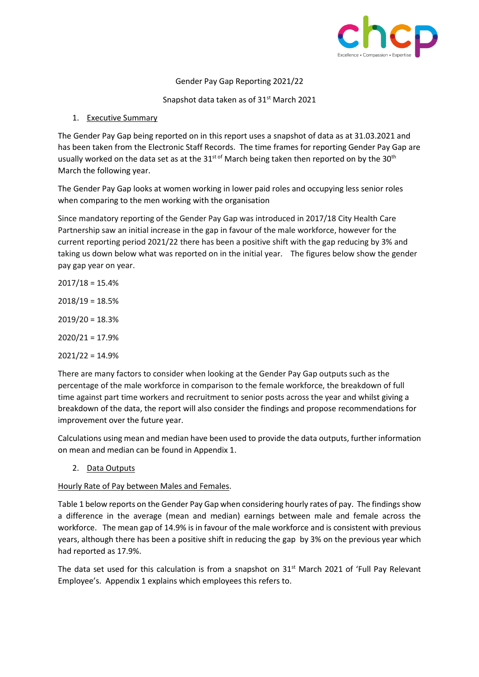

Gender Pay Gap Reporting 2021/22

Snapshot data taken as of 31<sup>st</sup> March 2021

# 1. Executive Summary

The Gender Pay Gap being reported on in this report uses a snapshot of data as at 31.03.2021 and has been taken from the Electronic Staff Records. The time frames for reporting Gender Pay Gap are usually worked on the data set as at the 31<sup>st of</sup> March being taken then reported on by the 30<sup>th</sup> March the following year.

The Gender Pay Gap looks at women working in lower paid roles and occupying less senior roles when comparing to the men working with the organisation

Since mandatory reporting of the Gender Pay Gap was introduced in 2017/18 City Health Care Partnership saw an initial increase in the gap in favour of the male workforce, however for the current reporting period 2021/22 there has been a positive shift with the gap reducing by 3% and taking us down below what was reported on in the initial year. The figures below show the gender pay gap year on year.

- $2017/18 = 15.4%$ 2018/19 = 18.5%  $2019/20 = 18.3%$
- 2020/21 = 17.9%

 $2021/22 = 14.9%$ 

There are many factors to consider when looking at the Gender Pay Gap outputs such as the percentage of the male workforce in comparison to the female workforce, the breakdown of full time against part time workers and recruitment to senior posts across the year and whilst giving a breakdown of the data, the report will also consider the findings and propose recommendations for improvement over the future year.

Calculations using mean and median have been used to provide the data outputs, further information on mean and median can be found in Appendix 1.

2. Data Outputs

# Hourly Rate of Pay between Males and Females.

Table 1 below reports on the Gender Pay Gap when considering hourly rates of pay. The findings show a difference in the average (mean and median) earnings between male and female across the workforce. The mean gap of 14.9% is in favour of the male workforce and is consistent with previous years, although there has been a positive shift in reducing the gap by 3% on the previous year which had reported as 17.9%.

The data set used for this calculation is from a snapshot on 31<sup>st</sup> March 2021 of 'Full Pay Relevant Employee's. Appendix 1 explains which employees this refers to.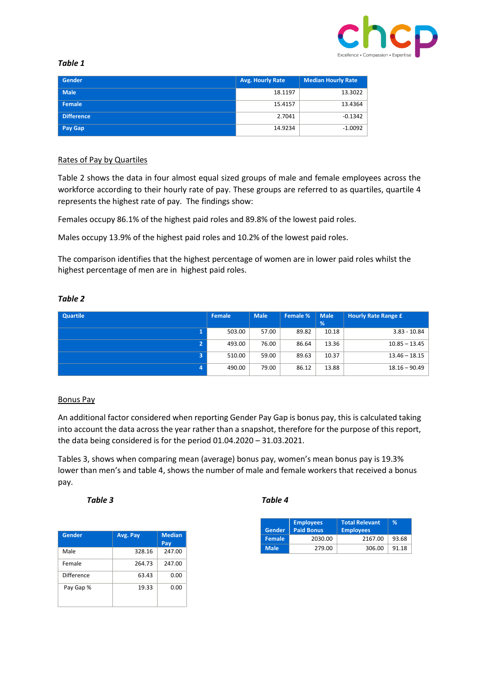

## *Table 1*

| Gender            | <b>Avg. Hourly Rate</b> | <b>Median Hourly Rate</b> |
|-------------------|-------------------------|---------------------------|
| <b>Male</b>       | 18.1197                 | 13.3022                   |
| Female            | 15.4157                 | 13.4364                   |
| <b>Difference</b> | 2.7041                  | $-0.1342$                 |
| Pay Gap           | 14.9234                 | $-1.0092$                 |

## Rates of Pay by Quartiles

Table 2 shows the data in four almost equal sized groups of male and female employees across the workforce according to their hourly rate of pay. These groups are referred to as quartiles, quartile 4 represents the highest rate of pay. The findings show:

Females occupy 86.1% of the highest paid roles and 89.8% of the lowest paid roles.

Males occupy 13.9% of the highest paid roles and 10.2% of the lowest paid roles.

The comparison identifies that the highest percentage of women are in lower paid roles whilst the highest percentage of men are in highest paid roles.

## *Table 2*

| <b>Quartile</b> | Female | <b>Male</b> | Female % | <b>Male</b> | <b>Hourly Rate Range £</b> |
|-----------------|--------|-------------|----------|-------------|----------------------------|
|                 |        |             |          | %           |                            |
|                 | 503.00 | 57.00       | 89.82    | 10.18       | 3.83 - 10.84               |
|                 | 493.00 | 76.00       | 86.64    | 13.36       | $10.85 - 13.45$            |
|                 | 510.00 | 59.00       | 89.63    | 10.37       | $13.46 - 18.15$            |
|                 | 490.00 | 79.00       | 86.12    | 13.88       | $18.16 - 90.49$            |

## Bonus Pay

An additional factor considered when reporting Gender Pay Gap is bonus pay, this is calculated taking into account the data across the year rather than a snapshot, therefore for the purpose of this report, the data being considered is for the period 01.04.2020 – 31.03.2021.

Tables 3, shows when comparing mean (average) bonus pay, women's mean bonus pay is 19.3% lower than men's and table 4, shows the number of male and female workers that received a bonus pay.

### *Table 3 Table 4*

| <b>Gender</b> | Avg. Pay | <b>Median</b><br>Pay |
|---------------|----------|----------------------|
| Male          | 328.16   | 247.00               |
| Female        | 264.73   | 247.00               |
| Difference    | 63.43    | 0.00                 |
| Pay Gap %     | 19.33    | 0.00                 |

| <b>Gender</b> | <b>Employees</b><br><b>Paid Bonus</b> | <b>Total Relevant</b><br><b>Employees</b> | ℅     |
|---------------|---------------------------------------|-------------------------------------------|-------|
| <b>Female</b> | 2030.00                               | 2167.00                                   | 93.68 |
| <b>Male</b>   | 279.00                                | 306.00                                    | 91.18 |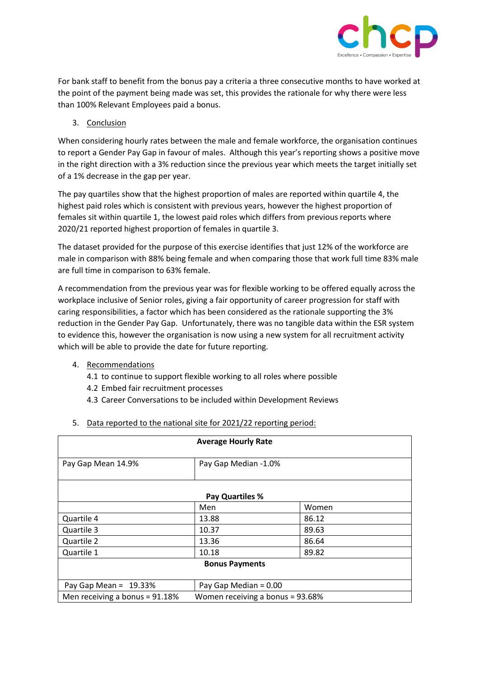

For bank staff to benefit from the bonus pay a criteria a three consecutive months to have worked at the point of the payment being made was set, this provides the rationale for why there were less than 100% Relevant Employees paid a bonus.

# 3. Conclusion

When considering hourly rates between the male and female workforce, the organisation continues to report a Gender Pay Gap in favour of males. Although this year's reporting shows a positive move in the right direction with a 3% reduction since the previous year which meets the target initially set of a 1% decrease in the gap per year.

The pay quartiles show that the highest proportion of males are reported within quartile 4, the highest paid roles which is consistent with previous years, however the highest proportion of females sit within quartile 1, the lowest paid roles which differs from previous reports where 2020/21 reported highest proportion of females in quartile 3.

The dataset provided for the purpose of this exercise identifies that just 12% of the workforce are male in comparison with 88% being female and when comparing those that work full time 83% male are full time in comparison to 63% female.

A recommendation from the previous year was for flexible working to be offered equally across the workplace inclusive of Senior roles, giving a fair opportunity of career progression for staff with caring responsibilities, a factor which has been considered as the rationale supporting the 3% reduction in the Gender Pay Gap. Unfortunately, there was no tangible data within the ESR system to evidence this, however the organisation is now using a new system for all recruitment activity which will be able to provide the date for future reporting.

- 4. Recommendations
	- 4.1 to continue to support flexible working to all roles where possible
	- 4.2 Embed fair recruitment processes
	- 4.3 Career Conversations to be included within Development Reviews

|                                                                    | <b>Average Hourly Rate</b> |       |  |  |
|--------------------------------------------------------------------|----------------------------|-------|--|--|
| Pay Gap Mean 14.9%                                                 | Pay Gap Median -1.0%       |       |  |  |
| <b>Pay Quartiles %</b>                                             |                            |       |  |  |
|                                                                    | Men                        | Women |  |  |
| Quartile 4                                                         | 13.88                      | 86.12 |  |  |
| Quartile 3                                                         | 10.37                      | 89.63 |  |  |
| Quartile 2                                                         | 13.36                      | 86.64 |  |  |
| Quartile 1                                                         | 10.18                      | 89.82 |  |  |
| <b>Bonus Payments</b>                                              |                            |       |  |  |
|                                                                    |                            |       |  |  |
| Pay Gap Mean = $19.33%$                                            | Pay Gap Median = 0.00      |       |  |  |
| Men receiving a bonus = 91.18%<br>Women receiving a bonus = 93.68% |                            |       |  |  |

5. Data reported to the national site for 2021/22 reporting period: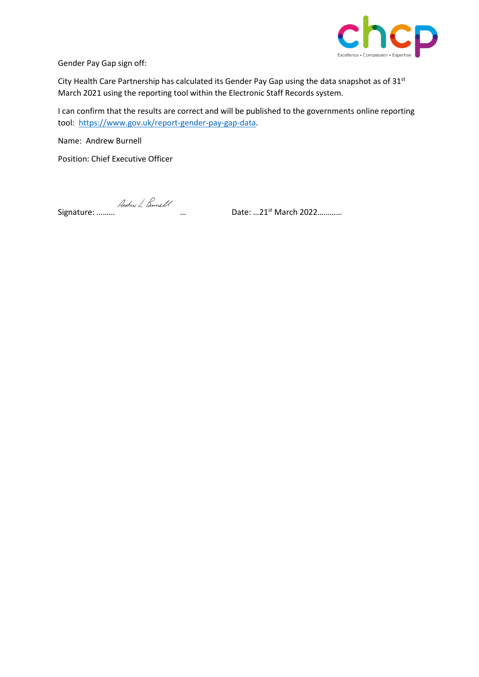

Gender Pay Gap sign off:

City Health Care Partnership has calculated its Gender Pay Gap using the data snapshot as of 31<sup>st</sup> March 2021 using the reporting tool within the Electronic Staff Records system.

I can confirm that the results are correct and will be published to the governments online reporting tool: [https://www.gov.uk/report-gender-pay-gap-data.](https://www.gov.uk/report-gender-pay-gap-data)

Name: Andrew Burnell

Position: Chief Executive Officer

Signature: ……… … Date: …21st March 2022…………